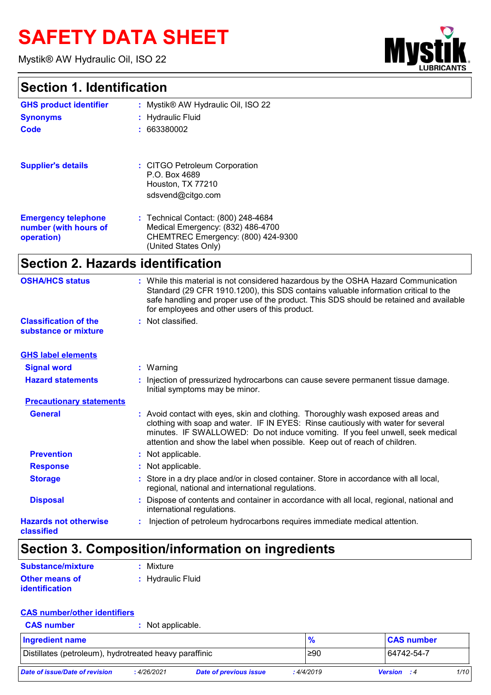# **SAFETY DATA SHEET**

Mystik® AW Hydraulic Oil, ISO 22



# **Section 1. Identification**

| <b>GHS product identifier</b>                                     | : Mystik® AW Hydraulic Oil, ISO 22                                                                                                                                                                                                                                                                                                    |
|-------------------------------------------------------------------|---------------------------------------------------------------------------------------------------------------------------------------------------------------------------------------------------------------------------------------------------------------------------------------------------------------------------------------|
| <b>Synonyms</b>                                                   | <b>Hydraulic Fluid</b>                                                                                                                                                                                                                                                                                                                |
| <b>Code</b>                                                       | : 663380002                                                                                                                                                                                                                                                                                                                           |
| <b>Supplier's details</b>                                         | : CITGO Petroleum Corporation<br>P.O. Box 4689<br>Houston, TX 77210<br>sdsvend@citgo.com                                                                                                                                                                                                                                              |
| <b>Emergency telephone</b><br>number (with hours of<br>operation) | : Technical Contact: (800) 248-4684<br>Medical Emergency: (832) 486-4700<br>CHEMTREC Emergency: (800) 424-9300<br>(United States Only)                                                                                                                                                                                                |
| <b>Section 2. Hazards identification</b>                          |                                                                                                                                                                                                                                                                                                                                       |
| <b>OSHA/HCS status</b>                                            | : While this material is not considered hazardous by the OSHA Hazard Communication<br>Standard (29 CFR 1910.1200), this SDS contains valuable information critical to the<br>safe handling and proper use of the product. This SDS should be retained and available<br>for employees and other users of this product.                 |
| <b>Classification of the</b><br>substance or mixture              | : Not classified.                                                                                                                                                                                                                                                                                                                     |
| <b>GHS label elements</b>                                         |                                                                                                                                                                                                                                                                                                                                       |
| <b>Signal word</b>                                                | : Warning                                                                                                                                                                                                                                                                                                                             |
| <b>Hazard statements</b>                                          | Injection of pressurized hydrocarbons can cause severe permanent tissue damage.<br>Initial symptoms may be minor.                                                                                                                                                                                                                     |
| <b>Precautionary statements</b>                                   |                                                                                                                                                                                                                                                                                                                                       |
| <b>General</b>                                                    | : Avoid contact with eyes, skin and clothing. Thoroughly wash exposed areas and<br>clothing with soap and water. IF IN EYES: Rinse cautiously with water for several<br>minutes. IF SWALLOWED: Do not induce vomiting. If you feel unwell, seek medical<br>attention and show the label when possible. Keep out of reach of children. |
| <b>Prevention</b>                                                 | : Not applicable.                                                                                                                                                                                                                                                                                                                     |
| <b>Response</b>                                                   | : Not applicable.                                                                                                                                                                                                                                                                                                                     |
| <b>Storage</b>                                                    | Store in a dry place and/or in closed container. Store in accordance with all local,<br>regional, national and international regulations.                                                                                                                                                                                             |
| <b>Disposal</b>                                                   | Dispose of contents and container in accordance with all local, regional, national and<br>international regulations.                                                                                                                                                                                                                  |
| <b>Hazards not otherwise</b><br>classified                        | Injection of petroleum hydrocarbons requires immediate medical attention.                                                                                                                                                                                                                                                             |

# **Section 3. Composition/information on ingredients**

| Substance/mixture                              | : Mixture         |
|------------------------------------------------|-------------------|
| <b>Other means of</b><br><b>identification</b> | : Hydraulic Fluid |

# **CAS number/other identifiers**

| <b>CAS number</b>                                      | : Not applicable. |                        |           |                    |      |
|--------------------------------------------------------|-------------------|------------------------|-----------|--------------------|------|
| <b>Ingredient name</b>                                 |                   |                        | %         | <b>CAS number</b>  |      |
| Distillates (petroleum), hydrotreated heavy paraffinic | 1≥90              | 64742-54-7             |           |                    |      |
| Date of issue/Date of revision                         | : 4/26/2021       | Date of previous issue | :4/4/2019 | <b>Version</b> : 4 | 1/10 |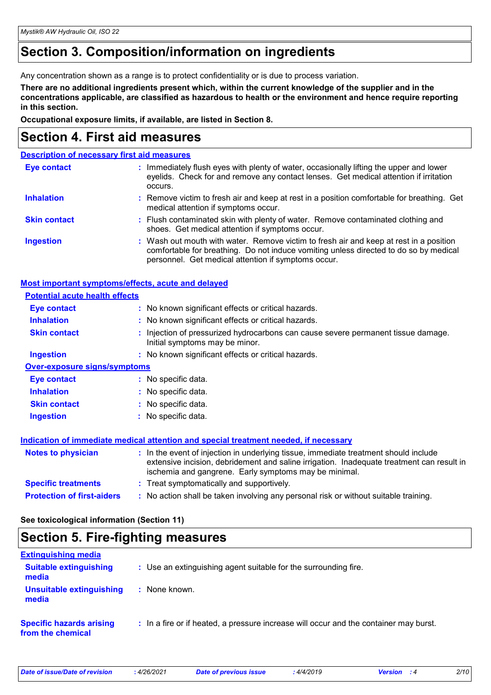# **Section 3. Composition/information on ingredients**

Any concentration shown as a range is to protect confidentiality or is due to process variation.

**There are no additional ingredients present which, within the current knowledge of the supplier and in the concentrations applicable, are classified as hazardous to health or the environment and hence require reporting in this section.**

**Occupational exposure limits, if available, are listed in Section 8.**

# **Section 4. First aid measures**

| <b>Description of necessary first aid measures</b> |                                                                                                                                                                                                                                        |
|----------------------------------------------------|----------------------------------------------------------------------------------------------------------------------------------------------------------------------------------------------------------------------------------------|
| <b>Eye contact</b>                                 | : Immediately flush eyes with plenty of water, occasionally lifting the upper and lower<br>eyelids. Check for and remove any contact lenses. Get medical attention if irritation<br>occurs.                                            |
| <b>Inhalation</b>                                  | : Remove victim to fresh air and keep at rest in a position comfortable for breathing. Get<br>medical attention if symptoms occur.                                                                                                     |
| <b>Skin contact</b>                                | : Flush contaminated skin with plenty of water. Remove contaminated clothing and<br>shoes. Get medical attention if symptoms occur.                                                                                                    |
| <b>Ingestion</b>                                   | : Wash out mouth with water. Remove victim to fresh air and keep at rest in a position<br>comfortable for breathing. Do not induce vomiting unless directed to do so by medical<br>personnel. Get medical attention if symptoms occur. |

| <b>Most important symptoms/effects, acute and delayed</b> |                                                                                                                                                                                                                                            |
|-----------------------------------------------------------|--------------------------------------------------------------------------------------------------------------------------------------------------------------------------------------------------------------------------------------------|
| <b>Potential acute health effects</b>                     |                                                                                                                                                                                                                                            |
| <b>Eye contact</b>                                        | : No known significant effects or critical hazards.                                                                                                                                                                                        |
| <b>Inhalation</b>                                         | : No known significant effects or critical hazards.                                                                                                                                                                                        |
| <b>Skin contact</b>                                       | : Injection of pressurized hydrocarbons can cause severe permanent tissue damage.<br>Initial symptoms may be minor.                                                                                                                        |
| <b>Ingestion</b>                                          | : No known significant effects or critical hazards.                                                                                                                                                                                        |
| <b>Over-exposure signs/symptoms</b>                       |                                                                                                                                                                                                                                            |
| <b>Eye contact</b>                                        | : No specific data.                                                                                                                                                                                                                        |
| <b>Inhalation</b>                                         | : No specific data.                                                                                                                                                                                                                        |
| <b>Skin contact</b>                                       | : No specific data.                                                                                                                                                                                                                        |
| <b>Ingestion</b>                                          | : No specific data.                                                                                                                                                                                                                        |
|                                                           | Indication of immediate medical attention and special treatment needed, if necessary                                                                                                                                                       |
| <b>Notes to physician</b>                                 | : In the event of injection in underlying tissue, immediate treatment should include<br>extensive incision, debridement and saline irrigation. Inadequate treatment can result in<br>ischemia and gangrene. Early symptoms may be minimal. |
| <b>Specific treatments</b>                                | : Treat symptomatically and supportively.                                                                                                                                                                                                  |
| <b>Protection of first-aiders</b>                         | : No action shall be taken involving any personal risk or without suitable training.                                                                                                                                                       |

**See toxicological information (Section 11)**

### **Section 5. Fire-fighting measures**

| <b>Extinguishing media</b>                           |                                                                                       |
|------------------------------------------------------|---------------------------------------------------------------------------------------|
| <b>Suitable extinguishing</b><br>media               | : Use an extinguishing agent suitable for the surrounding fire.                       |
| Unsuitable extinguishing<br>media                    | : None known.                                                                         |
| <b>Specific hazards arising</b><br>from the chemical | : In a fire or if heated, a pressure increase will occur and the container may burst. |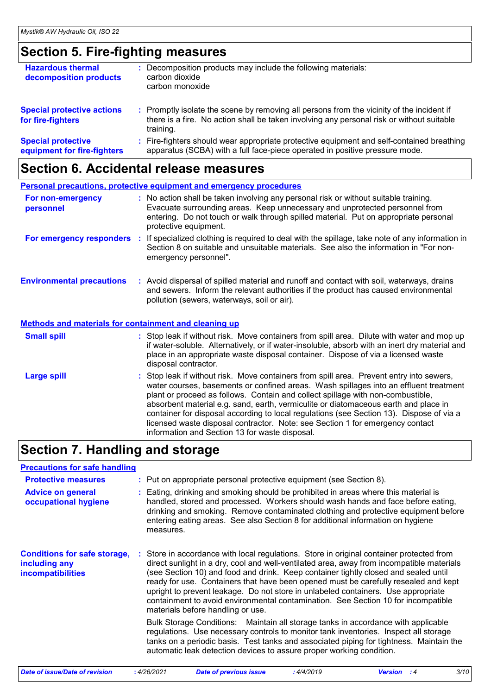# **Section 5. Fire-fighting measures**

| <b>Hazardous thermal</b><br>decomposition products       | Decomposition products may include the following materials:<br>carbon dioxide<br>carbon monoxide                                                                                                    |
|----------------------------------------------------------|-----------------------------------------------------------------------------------------------------------------------------------------------------------------------------------------------------|
| <b>Special protective actions</b><br>for fire-fighters   | : Promptly isolate the scene by removing all persons from the vicinity of the incident if<br>there is a fire. No action shall be taken involving any personal risk or without suitable<br>training. |
| <b>Special protective</b><br>equipment for fire-fighters | : Fire-fighters should wear appropriate protective equipment and self-contained breathing<br>apparatus (SCBA) with a full face-piece operated in positive pressure mode.                            |

# **Section 6. Accidental release measures**

|                                                              | <b>Personal precautions, protective equipment and emergency procedures</b>                                                                                                                                                                                                                                                                                                                                                                                                                                                                                                                 |
|--------------------------------------------------------------|--------------------------------------------------------------------------------------------------------------------------------------------------------------------------------------------------------------------------------------------------------------------------------------------------------------------------------------------------------------------------------------------------------------------------------------------------------------------------------------------------------------------------------------------------------------------------------------------|
| For non-emergency<br>personnel                               | : No action shall be taken involving any personal risk or without suitable training.<br>Evacuate surrounding areas. Keep unnecessary and unprotected personnel from<br>entering. Do not touch or walk through spilled material. Put on appropriate personal<br>protective equipment.                                                                                                                                                                                                                                                                                                       |
| For emergency responders :                                   | If specialized clothing is required to deal with the spillage, take note of any information in<br>Section 8 on suitable and unsuitable materials. See also the information in "For non-<br>emergency personnel".                                                                                                                                                                                                                                                                                                                                                                           |
| <b>Environmental precautions</b>                             | : Avoid dispersal of spilled material and runoff and contact with soil, waterways, drains<br>and sewers. Inform the relevant authorities if the product has caused environmental<br>pollution (sewers, waterways, soil or air).                                                                                                                                                                                                                                                                                                                                                            |
| <b>Methods and materials for containment and cleaning up</b> |                                                                                                                                                                                                                                                                                                                                                                                                                                                                                                                                                                                            |
| <b>Small spill</b>                                           | : Stop leak if without risk. Move containers from spill area. Dilute with water and mop up<br>if water-soluble. Alternatively, or if water-insoluble, absorb with an inert dry material and<br>place in an appropriate waste disposal container. Dispose of via a licensed waste<br>disposal contractor.                                                                                                                                                                                                                                                                                   |
| <b>Large spill</b>                                           | : Stop leak if without risk. Move containers from spill area. Prevent entry into sewers,<br>water courses, basements or confined areas. Wash spillages into an effluent treatment<br>plant or proceed as follows. Contain and collect spillage with non-combustible,<br>absorbent material e.g. sand, earth, vermiculite or diatomaceous earth and place in<br>container for disposal according to local regulations (see Section 13). Dispose of via a<br>licensed waste disposal contractor. Note: see Section 1 for emergency contact<br>information and Section 13 for waste disposal. |

# **Section 7. Handling and storage**

| <b>Precautions for safe handling</b>                                             |                                                                                                                                                                                                                                                                                                                                                                                                                                                                                                                                                                                  |
|----------------------------------------------------------------------------------|----------------------------------------------------------------------------------------------------------------------------------------------------------------------------------------------------------------------------------------------------------------------------------------------------------------------------------------------------------------------------------------------------------------------------------------------------------------------------------------------------------------------------------------------------------------------------------|
| <b>Protective measures</b>                                                       | : Put on appropriate personal protective equipment (see Section 8).                                                                                                                                                                                                                                                                                                                                                                                                                                                                                                              |
| <b>Advice on general</b><br>occupational hygiene                                 | : Eating, drinking and smoking should be prohibited in areas where this material is<br>handled, stored and processed. Workers should wash hands and face before eating,<br>drinking and smoking. Remove contaminated clothing and protective equipment before<br>entering eating areas. See also Section 8 for additional information on hygiene<br>measures.                                                                                                                                                                                                                    |
| <b>Conditions for safe storage,</b><br>including any<br><i>incompatibilities</i> | Store in accordance with local regulations. Store in original container protected from<br>direct sunlight in a dry, cool and well-ventilated area, away from incompatible materials<br>(see Section 10) and food and drink. Keep container tightly closed and sealed until<br>ready for use. Containers that have been opened must be carefully resealed and kept<br>upright to prevent leakage. Do not store in unlabeled containers. Use appropriate<br>containment to avoid environmental contamination. See Section 10 for incompatible<br>materials before handling or use. |
|                                                                                  | Bulk Storage Conditions: Maintain all storage tanks in accordance with applicable<br>regulations. Use necessary controls to monitor tank inventories. Inspect all storage<br>tanks on a periodic basis. Test tanks and associated piping for tightness. Maintain the<br>automatic leak detection devices to assure proper working condition.                                                                                                                                                                                                                                     |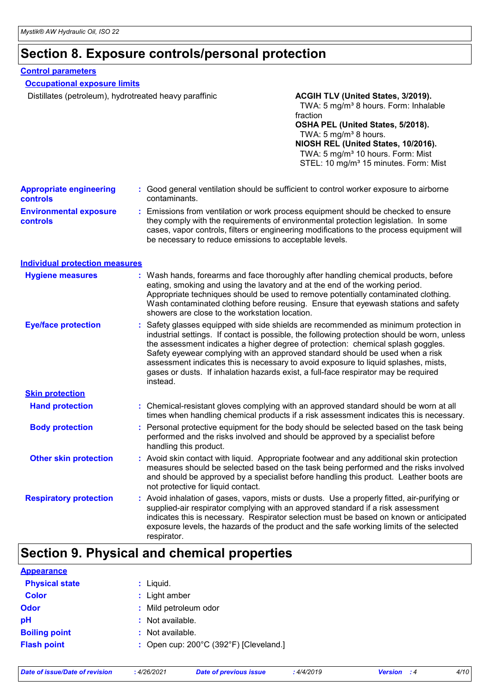# **Section 8. Exposure controls/personal protection**

### **Control parameters**

| <b>Occupational exposure limits</b><br>Distillates (petroleum), hydrotreated heavy paraffinic |                                                                                                                                                                                                                                                                                                                                 | ACGIH TLV (United States, 3/2019).                                                                                                                                                                                                                                                                                                                                                                                                                                                                                                      |  |
|-----------------------------------------------------------------------------------------------|---------------------------------------------------------------------------------------------------------------------------------------------------------------------------------------------------------------------------------------------------------------------------------------------------------------------------------|-----------------------------------------------------------------------------------------------------------------------------------------------------------------------------------------------------------------------------------------------------------------------------------------------------------------------------------------------------------------------------------------------------------------------------------------------------------------------------------------------------------------------------------------|--|
|                                                                                               |                                                                                                                                                                                                                                                                                                                                 | TWA: 5 mg/m <sup>3</sup> 8 hours. Form: Inhalable<br>fraction<br>OSHA PEL (United States, 5/2018).<br>TWA: 5 mg/m <sup>3</sup> 8 hours.<br>NIOSH REL (United States, 10/2016).<br>TWA: 5 mg/m <sup>3</sup> 10 hours. Form: Mist<br>STEL: 10 mg/m <sup>3</sup> 15 minutes. Form: Mist                                                                                                                                                                                                                                                    |  |
| <b>Appropriate engineering</b><br><b>controls</b>                                             | contaminants.                                                                                                                                                                                                                                                                                                                   | : Good general ventilation should be sufficient to control worker exposure to airborne                                                                                                                                                                                                                                                                                                                                                                                                                                                  |  |
| <b>Environmental exposure</b><br><b>controls</b>                                              | : Emissions from ventilation or work process equipment should be checked to ensure<br>they comply with the requirements of environmental protection legislation. In some<br>cases, vapor controls, filters or engineering modifications to the process equipment will<br>be necessary to reduce emissions to acceptable levels. |                                                                                                                                                                                                                                                                                                                                                                                                                                                                                                                                         |  |
| <b>Individual protection measures</b>                                                         |                                                                                                                                                                                                                                                                                                                                 |                                                                                                                                                                                                                                                                                                                                                                                                                                                                                                                                         |  |
| <b>Hygiene measures</b>                                                                       | showers are close to the workstation location.                                                                                                                                                                                                                                                                                  | : Wash hands, forearms and face thoroughly after handling chemical products, before<br>eating, smoking and using the lavatory and at the end of the working period.<br>Appropriate techniques should be used to remove potentially contaminated clothing.<br>Wash contaminated clothing before reusing. Ensure that eyewash stations and safety                                                                                                                                                                                         |  |
| <b>Eye/face protection</b>                                                                    | instead.                                                                                                                                                                                                                                                                                                                        | : Safety glasses equipped with side shields are recommended as minimum protection in<br>industrial settings. If contact is possible, the following protection should be worn, unless<br>the assessment indicates a higher degree of protection: chemical splash goggles.<br>Safety eyewear complying with an approved standard should be used when a risk<br>assessment indicates this is necessary to avoid exposure to liquid splashes, mists,<br>gases or dusts. If inhalation hazards exist, a full-face respirator may be required |  |
| <b>Skin protection</b>                                                                        |                                                                                                                                                                                                                                                                                                                                 |                                                                                                                                                                                                                                                                                                                                                                                                                                                                                                                                         |  |
| <b>Hand protection</b>                                                                        |                                                                                                                                                                                                                                                                                                                                 | : Chemical-resistant gloves complying with an approved standard should be worn at all<br>times when handling chemical products if a risk assessment indicates this is necessary.                                                                                                                                                                                                                                                                                                                                                        |  |
| <b>Body protection</b>                                                                        | handling this product.                                                                                                                                                                                                                                                                                                          | : Personal protective equipment for the body should be selected based on the task being<br>performed and the risks involved and should be approved by a specialist before                                                                                                                                                                                                                                                                                                                                                               |  |
| <b>Other skin protection</b>                                                                  | not protective for liquid contact.                                                                                                                                                                                                                                                                                              | : Avoid skin contact with liquid. Appropriate footwear and any additional skin protection<br>measures should be selected based on the task being performed and the risks involved<br>and should be approved by a specialist before handling this product. Leather boots are                                                                                                                                                                                                                                                             |  |
| <b>Respiratory protection</b>                                                                 | respirator.                                                                                                                                                                                                                                                                                                                     | : Avoid inhalation of gases, vapors, mists or dusts. Use a properly fitted, air-purifying or<br>supplied-air respirator complying with an approved standard if a risk assessment<br>indicates this is necessary. Respirator selection must be based on known or anticipated<br>exposure levels, the hazards of the product and the safe working limits of the selected                                                                                                                                                                  |  |
|                                                                                               | Section O Dhugical and chamical proportion                                                                                                                                                                                                                                                                                      |                                                                                                                                                                                                                                                                                                                                                                                                                                                                                                                                         |  |

# **Section 9. Physical and chemical properties**

| <b>Appearance</b>     |                                                             |
|-----------------------|-------------------------------------------------------------|
| <b>Physical state</b> | : Liquid.                                                   |
| <b>Color</b>          | : Light amber                                               |
| Odor                  | : Mild petroleum odor                                       |
| рH                    | : Not available.                                            |
| <b>Boiling point</b>  | $:$ Not available.                                          |
| <b>Flash point</b>    | : Open cup: $200^{\circ}$ C (392 $^{\circ}$ F) [Cleveland.] |
|                       |                                                             |

| Date of issue/Date of revision |  |  |  |  |
|--------------------------------|--|--|--|--|
|--------------------------------|--|--|--|--|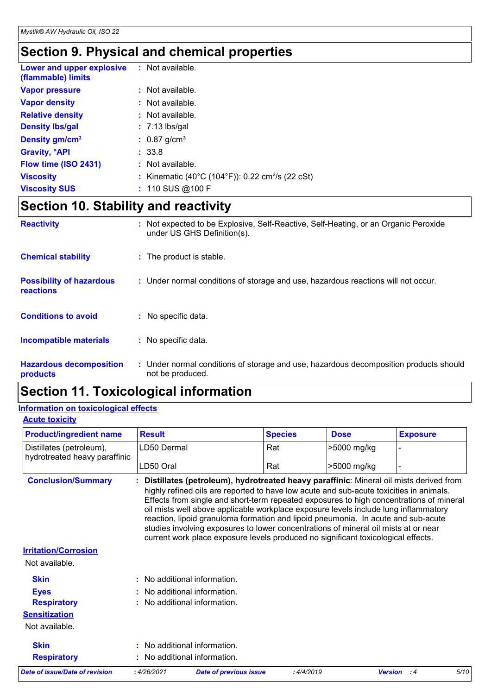# **Section 9. Physical and chemical properties**

| Lower and upper explosive<br>(flammable) limits | : Not available.                                             |
|-------------------------------------------------|--------------------------------------------------------------|
| <b>Vapor pressure</b>                           | : Not available.                                             |
| <b>Vapor density</b>                            | : Not available.                                             |
| <b>Relative density</b>                         | $\therefore$ Not available.                                  |
| <b>Density Ibs/gal</b>                          | $: 7.13$ lbs/gal                                             |
| Density gm/cm <sup>3</sup>                      | $: 0.87$ g/cm <sup>3</sup>                                   |
| <b>Gravity, <sup>o</sup>API</b>                 | : 33.8                                                       |
| Flow time (ISO 2431)                            | $:$ Not available.                                           |
| <b>Viscosity</b>                                | : Kinematic (40°C (104°F)): 0.22 cm <sup>2</sup> /s (22 cSt) |
| <b>Viscosity SUS</b>                            | $: 110$ SUS @ 100 F                                          |

# **Section 10. Stability and reactivity**

| <b>Reactivity</b>                            | : Not expected to be Explosive, Self-Reactive, Self-Heating, or an Organic Peroxide<br>under US GHS Definition(s). |
|----------------------------------------------|--------------------------------------------------------------------------------------------------------------------|
| <b>Chemical stability</b>                    | : The product is stable.                                                                                           |
| <b>Possibility of hazardous</b><br>reactions | : Under normal conditions of storage and use, hazardous reactions will not occur.                                  |
| <b>Conditions to avoid</b>                   | : No specific data.                                                                                                |
| <b>Incompatible materials</b>                | : No specific data.                                                                                                |
| <b>Hazardous decomposition</b><br>products   | : Under normal conditions of storage and use, hazardous decomposition products should<br>not be produced.          |

# **Section 11. Toxicological information**

### **Information on toxicological effects**

**Acute toxicity**

| <b>Product/ingredient name</b>                            | <b>Result</b>                                                                                                                                                                                                                                                                                                                                                                                                                                                                                                                                                                                                                          | <b>Species</b> | <b>Dose</b> | <b>Exposure</b> |
|-----------------------------------------------------------|----------------------------------------------------------------------------------------------------------------------------------------------------------------------------------------------------------------------------------------------------------------------------------------------------------------------------------------------------------------------------------------------------------------------------------------------------------------------------------------------------------------------------------------------------------------------------------------------------------------------------------------|----------------|-------------|-----------------|
| Distillates (petroleum),<br>hydrotreated heavy paraffinic | LD50 Dermal                                                                                                                                                                                                                                                                                                                                                                                                                                                                                                                                                                                                                            | Rat            | >5000 mg/kg |                 |
|                                                           | LD50 Oral                                                                                                                                                                                                                                                                                                                                                                                                                                                                                                                                                                                                                              | Rat            | >5000 mg/kg |                 |
| <b>Conclusion/Summary</b>                                 | : Distillates (petroleum), hydrotreated heavy paraffinic: Mineral oil mists derived from<br>highly refined oils are reported to have low acute and sub-acute toxicities in animals.<br>Effects from single and short-term repeated exposures to high concentrations of mineral<br>oil mists well above applicable workplace exposure levels include lung inflammatory<br>reaction, lipoid granuloma formation and lipoid pneumonia. In acute and sub-acute<br>studies involving exposures to lower concentrations of mineral oil mists at or near<br>current work place exposure levels produced no significant toxicological effects. |                |             |                 |
| <b>Irritation/Corrosion</b>                               |                                                                                                                                                                                                                                                                                                                                                                                                                                                                                                                                                                                                                                        |                |             |                 |
| Not available.                                            |                                                                                                                                                                                                                                                                                                                                                                                                                                                                                                                                                                                                                                        |                |             |                 |
| <b>Skin</b>                                               | : No additional information.                                                                                                                                                                                                                                                                                                                                                                                                                                                                                                                                                                                                           |                |             |                 |
| <b>Eyes</b>                                               | : No additional information.                                                                                                                                                                                                                                                                                                                                                                                                                                                                                                                                                                                                           |                |             |                 |
| <b>Respiratory</b>                                        | : No additional information.                                                                                                                                                                                                                                                                                                                                                                                                                                                                                                                                                                                                           |                |             |                 |
| <b>Sensitization</b>                                      |                                                                                                                                                                                                                                                                                                                                                                                                                                                                                                                                                                                                                                        |                |             |                 |
| Not available.                                            |                                                                                                                                                                                                                                                                                                                                                                                                                                                                                                                                                                                                                                        |                |             |                 |
| <b>Skin</b>                                               | : No additional information.                                                                                                                                                                                                                                                                                                                                                                                                                                                                                                                                                                                                           |                |             |                 |
|                                                           | No additional information.                                                                                                                                                                                                                                                                                                                                                                                                                                                                                                                                                                                                             |                |             |                 |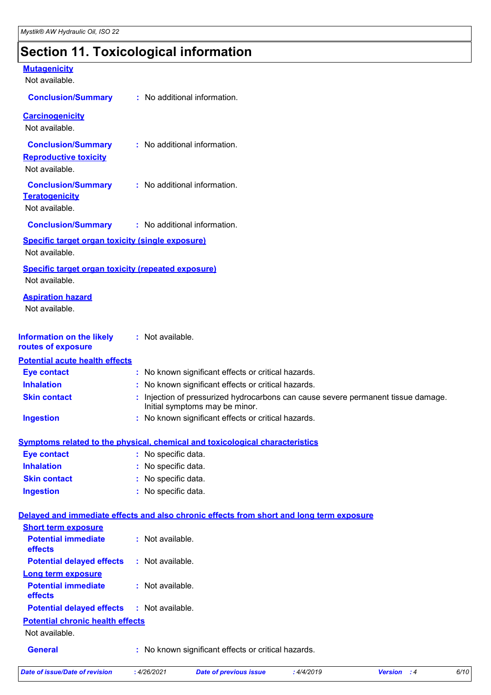# **Section 11. Toxicological information**

| <b>Mutagenicity</b><br>Not available.                                       |                                                                                                                     |
|-----------------------------------------------------------------------------|---------------------------------------------------------------------------------------------------------------------|
| <b>Conclusion/Summary</b>                                                   | : No additional information.                                                                                        |
| <b>Carcinogenicity</b><br>Not available.                                    |                                                                                                                     |
| <b>Conclusion/Summary</b><br><b>Reproductive toxicity</b><br>Not available. | : No additional information.                                                                                        |
| <b>Conclusion/Summary</b><br><b>Teratogenicity</b><br>Not available.        | : No additional information.                                                                                        |
| <b>Conclusion/Summary</b>                                                   | : No additional information.                                                                                        |
| <b>Specific target organ toxicity (single exposure)</b>                     |                                                                                                                     |
| Not available.                                                              |                                                                                                                     |
| <b>Specific target organ toxicity (repeated exposure)</b>                   |                                                                                                                     |
| Not available.                                                              |                                                                                                                     |
| <b>Aspiration hazard</b><br>Not available.                                  |                                                                                                                     |
| <b>Information on the likely</b><br>routes of exposure                      | : Not available.                                                                                                    |
| <b>Potential acute health effects</b>                                       |                                                                                                                     |
| <b>Eye contact</b>                                                          | : No known significant effects or critical hazards.                                                                 |
| <b>Inhalation</b>                                                           | : No known significant effects or critical hazards.                                                                 |
| <b>Skin contact</b>                                                         | : Injection of pressurized hydrocarbons can cause severe permanent tissue damage.<br>Initial symptoms may be minor. |
| <b>Ingestion</b>                                                            | : No known significant effects or critical hazards.                                                                 |
|                                                                             | Symptoms related to the physical, chemical and toxicological characteristics                                        |
| <b>Eye contact</b>                                                          | : No specific data.                                                                                                 |
| <b>Inhalation</b>                                                           | : No specific data.                                                                                                 |
| <b>Skin contact</b>                                                         | : No specific data.                                                                                                 |
| <b>Ingestion</b>                                                            | : No specific data.                                                                                                 |
|                                                                             | Delayed and immediate effects and also chronic effects from short and long term exposure                            |
| <b>Short term exposure</b>                                                  |                                                                                                                     |
| <b>Potential immediate</b><br>effects                                       | : Not available.                                                                                                    |
| <b>Potential delayed effects</b>                                            | : Not available.                                                                                                    |
| <b>Long term exposure</b><br><b>Potential immediate</b><br>effects          | : Not available.                                                                                                    |
| <b>Potential delayed effects</b>                                            | : Not available.                                                                                                    |
| <b>Potential chronic health effects</b>                                     |                                                                                                                     |
| Not available.                                                              |                                                                                                                     |
| <b>General</b>                                                              | : No known significant effects or critical hazards.                                                                 |

*Date of issue/Date of revision* **:** *4/26/2021 Date of previous issue : 4/4/2019 Version : 4 6/10*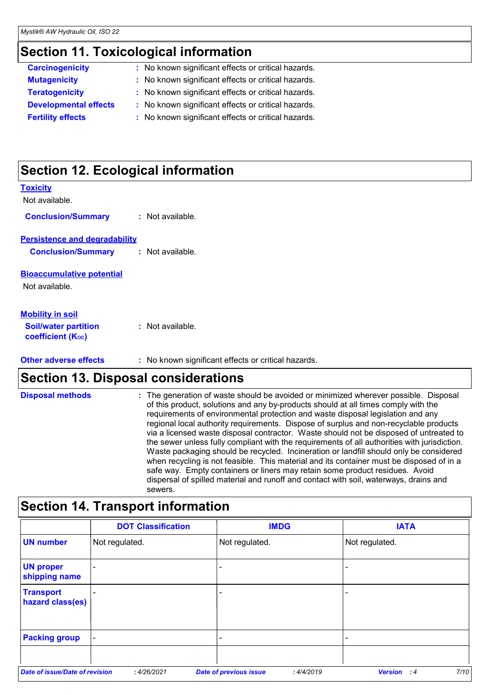# **Section 11. Toxicological information**

| <b>Carcinogenicity</b>       | : No known significant effects or critical hazards. |
|------------------------------|-----------------------------------------------------|
| <b>Mutagenicity</b>          | : No known significant effects or critical hazards. |
| <b>Teratogenicity</b>        | : No known significant effects or critical hazards. |
| <b>Developmental effects</b> | : No known significant effects or critical hazards. |
| <b>Fertility effects</b>     | : No known significant effects or critical hazards. |
|                              |                                                     |

# **Section 12. Ecological information**

| <b>Other adverse effects</b>                                                       | : No known significant effects or critical hazards. |
|------------------------------------------------------------------------------------|-----------------------------------------------------|
| <u>Mobility in soil</u><br><b>Soil/water partition</b><br><b>coefficient (Koc)</b> | $:$ Not available.                                  |
| <b>Bioaccumulative potential</b><br>Not available.                                 |                                                     |
| <b>Persistence and degradability</b><br><b>Conclusion/Summary</b>                  | : Not available.                                    |
| <b>Conclusion/Summary</b>                                                          | $:$ Not available.                                  |
| Toxicity<br>Not available.                                                         |                                                     |

# **Section 13. Disposal considerations**

| <b>Disposal methods</b> | : The generation of waste should be avoided or minimized wherever possible. Disposal<br>of this product, solutions and any by-products should at all times comply with the<br>requirements of environmental protection and waste disposal legislation and any<br>regional local authority requirements. Dispose of surplus and non-recyclable products                       |
|-------------------------|------------------------------------------------------------------------------------------------------------------------------------------------------------------------------------------------------------------------------------------------------------------------------------------------------------------------------------------------------------------------------|
|                         | via a licensed waste disposal contractor. Waste should not be disposed of untreated to<br>the sewer unless fully compliant with the requirements of all authorities with jurisdiction.<br>Waste packaging should be recycled. Incineration or landfill should only be considered<br>when recycling is not feasible. This material and its container must be disposed of in a |
|                         | safe way. Empty containers or liners may retain some product residues. Avoid<br>dispersal of spilled material and runoff and contact with soil, waterways, drains and<br>sewers.                                                                                                                                                                                             |

# **Section 14. Transport information**

|                                       | <b>DOT Classification</b> | <b>IMDG</b>                                | <b>IATA</b>                   |
|---------------------------------------|---------------------------|--------------------------------------------|-------------------------------|
| <b>UN number</b>                      | Not regulated.            | Not regulated.                             | Not regulated.                |
| <b>UN proper</b><br>shipping name     | $\overline{\phantom{0}}$  |                                            | $\overline{\phantom{0}}$      |
| <b>Transport</b><br>hazard class(es)  |                           |                                            |                               |
| <b>Packing group</b>                  | $\overline{\phantom{a}}$  | -                                          |                               |
| <b>Date of issue/Date of revision</b> | : 4/26/2021               | <b>Date of previous issue</b><br>:4/4/2019 | 7/10<br>Version<br>$\cdot$ :4 |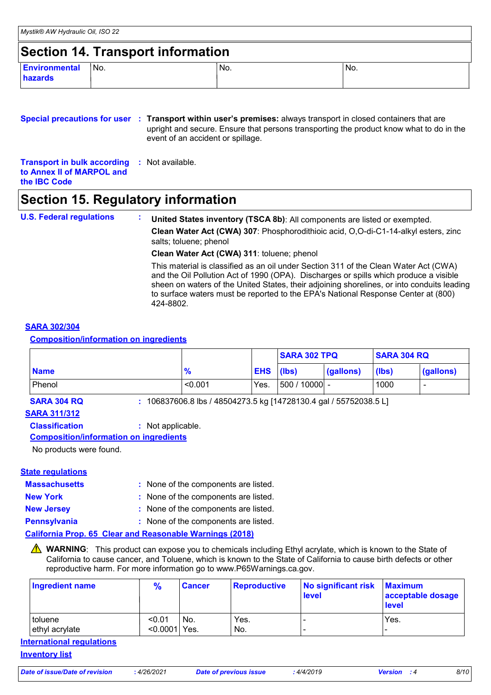### **Section 14. Transport information**

| <b>Environmental</b> | No. | No. | No. |
|----------------------|-----|-----|-----|
| hazards              |     |     |     |
|                      |     |     |     |

### **Special precautions for user** : Transport within user's premises: always transport in closed containers that are **Transport in bulk according :** Not available. **to Annex II of MARPOL and the IBC Code** upright and secure. Ensure that persons transporting the product know what to do in the event of an accident or spillage.

### **Section 15. Regulatory information**

| <b>U.S. Federal regulations</b> | United States inventory (TSCA 8b): All components are listed or exempted.                                                                                                                                                                                                                                                                                                     |
|---------------------------------|-------------------------------------------------------------------------------------------------------------------------------------------------------------------------------------------------------------------------------------------------------------------------------------------------------------------------------------------------------------------------------|
|                                 | Clean Water Act (CWA) 307: Phosphorodithioic acid, O,O-di-C1-14-alkyl esters, zinc<br>salts; toluene; phenol                                                                                                                                                                                                                                                                  |
|                                 | Clean Water Act (CWA) 311: toluene; phenol                                                                                                                                                                                                                                                                                                                                    |
|                                 | This material is classified as an oil under Section 311 of the Clean Water Act (CWA)<br>and the Oil Pollution Act of 1990 (OPA). Discharges or spills which produce a visible<br>sheen on waters of the United States, their adjoining shorelines, or into conduits leading<br>to surface waters must be reported to the EPA's National Response Center at (800)<br>424-8802. |

#### **SARA 302/304**

**Composition/information on ingredients**

|             |               |                  | <b>SARA 302 TPQ</b> |           | <b>SARA 304 RQ</b> |           |
|-------------|---------------|------------------|---------------------|-----------|--------------------|-----------|
| <b>Name</b> | $\frac{9}{6}$ | <b>EHS</b> (lbs) |                     | (gallons) | (lbs)              | (gallons) |
| Phenol      | < 0.001       | Yes.             | $ 500/10000 $ -     |           | 1000               |           |

**SARA 304 RQ :** 106837606.8 lbs / 48504273.5 kg [14728130.4 gal / 55752038.5 L]

### **SARA 311/312**

**Classification :** Not applicable.

#### **Composition/information on ingredients**

No products were found.

#### **State regulations**

| <b>Massachusetts</b>                       | : None of the components are listed.                                                                                                                                                                                              |
|--------------------------------------------|-----------------------------------------------------------------------------------------------------------------------------------------------------------------------------------------------------------------------------------|
| $\mathbf{r}$ , $\mathbf{r}$ , $\mathbf{r}$ | $\mathbf{r}$ , and the contract of the contract of the contract of the contract of the contract of the contract of the contract of the contract of the contract of the contract of the contract of the contract of the contract o |

**New York :** None of the components are listed.

- **New Jersey :** None of the components are listed.
- **Pennsylvania :** None of the components are listed.

#### **California Prop. 65 Clear and Reasonable Warnings (2018)**

WARNING: This product can expose you to chemicals including Ethyl acrylate, which is known to the State of California to cause cancer, and Toluene, which is known to the State of California to cause birth defects or other reproductive harm. For more information go to www.P65Warnings.ca.gov.

| <b>Ingredient name</b>           | $\frac{9}{6}$             | <b>Cancer</b> | <b>Reproductive</b> | No significant risk<br><b>level</b> | <b>Maximum</b><br>acceptable dosage<br><b>level</b> |
|----------------------------------|---------------------------|---------------|---------------------|-------------------------------------|-----------------------------------------------------|
| toluene<br>ethyl acrylate        | < 0.01<br>$< 0.0001$ Yes. | I No.         | Yes.<br>No.         |                                     | Yes.                                                |
| <b>International regulations</b> |                           |               |                     |                                     |                                                     |

#### **Inventory list**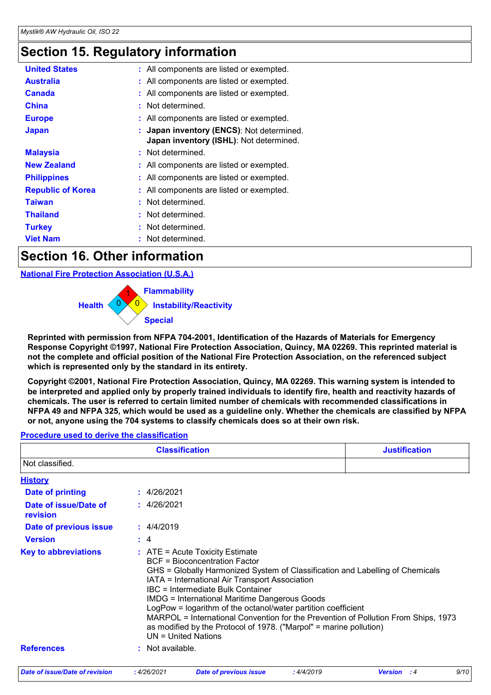# **Section 15. Regulatory information**

| <b>United States</b>     | : All components are listed or exempted.                                             |
|--------------------------|--------------------------------------------------------------------------------------|
| <b>Australia</b>         | : All components are listed or exempted.                                             |
| <b>Canada</b>            | : All components are listed or exempted.                                             |
| <b>China</b>             | : Not determined.                                                                    |
| <b>Europe</b>            | : All components are listed or exempted.                                             |
| <b>Japan</b>             | : Japan inventory (ENCS): Not determined.<br>Japan inventory (ISHL): Not determined. |
| <b>Malaysia</b>          | : Not determined.                                                                    |
| <b>New Zealand</b>       | : All components are listed or exempted.                                             |
| <b>Philippines</b>       | : All components are listed or exempted.                                             |
| <b>Republic of Korea</b> | : All components are listed or exempted.                                             |
| <b>Taiwan</b>            | : Not determined.                                                                    |
| <b>Thailand</b>          | : Not determined.                                                                    |
| <b>Turkey</b>            | : Not determined.                                                                    |
| <b>Viet Nam</b>          | : Not determined.                                                                    |
|                          |                                                                                      |

# **Section 16. Other information**

**National Fire Protection Association (U.S.A.)**



**Reprinted with permission from NFPA 704-2001, Identification of the Hazards of Materials for Emergency Response Copyright ©1997, National Fire Protection Association, Quincy, MA 02269. This reprinted material is not the complete and official position of the National Fire Protection Association, on the referenced subject which is represented only by the standard in its entirety.**

**Copyright ©2001, National Fire Protection Association, Quincy, MA 02269. This warning system is intended to be interpreted and applied only by properly trained individuals to identify fire, health and reactivity hazards of chemicals. The user is referred to certain limited number of chemicals with recommended classifications in NFPA 49 and NFPA 325, which would be used as a guideline only. Whether the chemicals are classified by NFPA or not, anyone using the 704 systems to classify chemicals does so at their own risk.**

### **Procedure used to derive the classification**

|                                       |                  | <b>Justification</b>                                                                                                                                                                                                                                                                                                                                                                                                                                                               |           |                                                                                    |      |
|---------------------------------------|------------------|------------------------------------------------------------------------------------------------------------------------------------------------------------------------------------------------------------------------------------------------------------------------------------------------------------------------------------------------------------------------------------------------------------------------------------------------------------------------------------|-----------|------------------------------------------------------------------------------------|------|
| Not classified.                       |                  |                                                                                                                                                                                                                                                                                                                                                                                                                                                                                    |           |                                                                                    |      |
| <b>History</b>                        |                  |                                                                                                                                                                                                                                                                                                                                                                                                                                                                                    |           |                                                                                    |      |
| <b>Date of printing</b>               | : 4/26/2021      |                                                                                                                                                                                                                                                                                                                                                                                                                                                                                    |           |                                                                                    |      |
| Date of issue/Date of<br>revision     | : 4/26/2021      |                                                                                                                                                                                                                                                                                                                                                                                                                                                                                    |           |                                                                                    |      |
| Date of previous issue                | : 4/4/2019       |                                                                                                                                                                                                                                                                                                                                                                                                                                                                                    |           |                                                                                    |      |
| <b>Version</b>                        | : 4              |                                                                                                                                                                                                                                                                                                                                                                                                                                                                                    |           |                                                                                    |      |
| <b>Key to abbreviations</b>           |                  | $\therefore$ ATE = Acute Toxicity Estimate<br><b>BCF</b> = Bioconcentration Factor<br>GHS = Globally Harmonized System of Classification and Labelling of Chemicals<br>IATA = International Air Transport Association<br>IBC = Intermediate Bulk Container<br><b>IMDG = International Maritime Dangerous Goods</b><br>LogPow = logarithm of the octanol/water partition coefficient<br>as modified by the Protocol of 1978. ("Marpol" = marine pollution)<br>$UN = United Nations$ |           | MARPOL = International Convention for the Prevention of Pollution From Ships, 1973 |      |
| <b>References</b>                     | : Not available. |                                                                                                                                                                                                                                                                                                                                                                                                                                                                                    |           |                                                                                    |      |
| <b>Date of issue/Date of revision</b> | : 4/26/2021      | <b>Date of previous issue</b>                                                                                                                                                                                                                                                                                                                                                                                                                                                      | :4/4/2019 | <b>Version</b> : 4                                                                 | 9/10 |